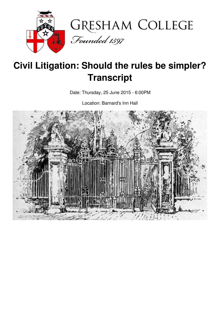



# **Civil Litigation: Should the rules be simpler? Transcript**

Date: Thursday, 25 June 2015 - 6:00PM

Location: Barnard's Inn Hall

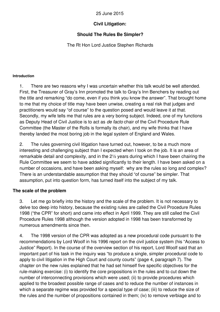## 25 June 2015

# **Civil Litigation:**

# **Should The Rules Be Simpler?**

The Rt Hon Lord Justice Stephen Richards

#### **Introduction**

1. There are two reasons why I was uncertain whether this talk would be well attended. First, the Treasurer of Gray's Inn promoted the talk to Gray's Inn Benchers by reading out the title and remarking "do come, even if you think you know the answer". That brought home to me that my choice of title may have been unwise, creating a real risk that judges and practitioners would say "of course" to the question posed and would leave it at that. Secondly, my wife tells me that rules are a very boring subject. Indeed, one of my functions as Deputy Head of Civil Justice is to act as *de facto* chair of the Civil Procedure Rule Committee (the Master of the Rolls is formally its chair), and my wife thinks that I have thereby landed the most boring job in the legal system of England and Wales.

2. The rules governing civil litigation have turned out, however, to be a much more interesting and challenging subject than I expected when I took on the job. It is an area of remarkable detail and complexity, and in the 2½ years during which I have been chairing the Rule Committee we seem to have added significantly to their length. I have been asked on a number of occasions, and have been asking myself: why are the rules so long and complex? There is an understandable assumption that they should "of course" be simpler. That assumption, put into question form, has turned itself into the subject of my talk.

## **The scale of the problem**

3. Let me go briefly into the history and the scale of the problem. It is not necessary to delve too deep into history, because the existing rules are called the Civil Procedure Rules 1998 ("the CPR" for short) and came into effect in April 1999. They are still called the Civil Procedure Rules 1998 although the version adopted in 1998 has been transformed by numerous amendments since then.

4. The 1998 version of the CPR was adopted as a new procedural code pursuant to the recommendations by Lord Woolf in his 1996 report on the civil justice system (his "Access to Justice" Report). In the course of the overview section of his report, Lord Woolf said that an important part of his task in the inquiry was "to produce a single, simpler procedural code to apply to civil litigation in the High Court and county courts" (page 4, paragraph 7). The chapter on the new rules explained that he had set himself five specific objectives for the rule-making exercise: (i) to identify the core propositions in the rules and to cut down the number of interconnecting provisions which were used; (ii) to provide procedures which applied to the broadest possible range of cases and to reduce the number of instances in which a separate regime was provided for a special type of case; (iii) to reduce the size of the rules and the number of propositions contained in them; (iv) to remove verbiage and to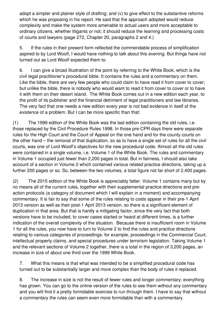adopt a simpler and plainer style of drafting; and (v) to give effect to the substantive reforms which he was proposing in his report. He said that the approach adopted would reduce complexity and make the system more amenable to actual users and more acceptable to ordinary citizens, whether litigants or not; it should reduce the learning and processing costs of courts and lawyers (page 272, Chapter 20, paragraphs 2 and 4.)

5. If the rules in their present form reflected the commendable process of simplification aspired to by Lord Woolf, I would have nothing to talk about this evening. But things have not turned out as Lord Woolf expected them to.

6. I can give a broad illustration of the point by referring to the White Book, which is the civil legal practitioner's procedural bible. It contains the rules and a commentary on them. Like the bible, there are very few people who could claim to have read it from cover to cover; but unlike the bible, there is nobody who would want to read it from cover to cover or to have it with them on their desert island. The White Book comes out in a new edition each year, to the profit of its publisher and the financial detriment of legal practitioners and law libraries. The very fact that one needs a new edition every year is not bad evidence in itself of the existence of a problem. But I can be more specific than that:

(1) The 1999 edition of the White Book was the last edition containing the old rules, i.e. those replaced by the Civil Procedure Rules 1998. In those pre-CPR days there were separate rules for the High Court and the Court of Appeal on the one hand and for the county courts on the other hand – the removal of that duplication, so as to have a single set of rules for all the civil courts, was one of Lord Woolf's objectives for the new procedural code. Almost all the old rules were contained in a single volume, i.e. Volume 1 of the White Book. The rules and commentary in Volume 1 occupied just fewer than 2,200 pages in total. But in fairness, I should also take account of a section in Volume 2 which contained various related practice directions, taking up a further 200 pages or so. So, between the two volumes, a total figure not far short of 2,400 pages.

(2) The 2015 edition of the White Book is appreciably fatter. Volume 1 contains many but by no means all of the current rules, together with their supplemental practice directions and preaction protocols (a category of document which I will explain in a moment) and accompanying commentary. It is fair to say that some of the rules relating to costs appear in their pre-1 April 2013 version as well as their post-1 April 2013 version, so there is a significant element of duplication in that area. But that is hardly a mitigating factor, since the very fact that both versions have to be included, to cover cases started or heard at different times, is a further indication of the overall complexity of the situation. Because there is insufficient room in Volume 1 for all the rules, you now have to turn to Volume 2 to find the rules and practice directions relating to various categories of proceedings: for example, proceedings in the Commercial Court, intellectual property claims, and special procedures under terrorism legislation. Taking Volume 1 and the relevant sections of Volume 2 together, there is a total in the region of 3,200 pages, an increase in size of about one third over the 1999 White Book.

7. What this means is that what was intended to be a simplified procedural code has turned out to be substantially larger and more complex than the body of rules it replaced.

8. The increase in size is not the result of fewer rules and longer commentary; everything has grown. You can go to the online version of the rules to see them without any commentary and you will find it a pretty formidable exercise to run through them. I have to say that without a commentary the rules can seem even more formidable than with a commentary.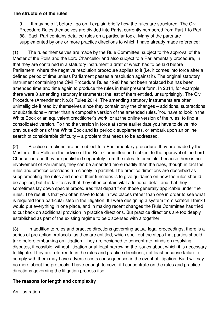## **The structure of the rules**

9. It may help if, before I go on, I explain briefly how the rules are structured. The Civil Procedure Rules themselves are divided into Parts, currently numbered from Part 1 to Part 88. Each Part contains detailed rules on a particular topic. Many of the parts are supplemented by one or more practice directions to which I have already made reference:

(1) The rules themselves are made by the Rule Committee, subject to the approval of the Master of the Rolls and the Lord Chancellor and also subject to a Parliamentary procedure, in that they are contained in a statutory instrument a draft of which has to be laid before Parliament, where the negative resolution procedure applies to it (i.e. it comes into force after a defined period of time unless Parliament passes a resolution against it). The original statutory instrument containing the Civil Procedure Rules 1998 has not been replaced but has been amended time and time again to produce the rules in their present form. In 2014, for example, there were 8 amending statutory instruments; the last of them entitled, unsurprisingly, The Civil Procedure (Amendment No.8) Rules 2014. The amending statutory instruments are often unintelligible if read by themselves since they contain only the changes – additions, subtractions or substitutions – rather than a composite version of the amended rules. You have to look in the White Book or an equivalent practitioner's work, or at the online version of the rules, to find a consolidated version. To find the version in force at some earlier date you have to delve into previous editions of the White Book and its periodic supplements, or embark upon an online search of considerable difficulty – a problem that needs to be addressed.

(2) Practice directions are not subject to a Parliamentary procedure; they are made by the Master of the Rolls on the advice of the Rule Committee and subject to the approval of the Lord Chancellor, and they are published separately from the rules. In principle, because there is no involvement of Parliament, they can be amended more readily than the rules, though in fact the rules and practice directions run closely in parallel. The practice directions are described as supplementing the rules and one of their functions is to give guidance on how the rules should be applied, but it is fair to say that they often contain vital additional detail and that they sometimes lay down special procedures that depart from those generally applicable under the rules. The result is that you often have to look in two places rather than one in order to see what is required for a particular step in the litigation. If I were designing a system from scratch I think I would put everything in one place, and in making recent changes the Rule Committee has tried to cut back on additional provision in practice directions. But practice directions are too deeply established as part of the existing regime to be dispensed with altogether.

(3) In addition to rules and practice directions governing actual legal proceedings, there is a series of pre-action protocols, as they are entitled, which spell out the steps that parties should take before embarking on litigation. They are designed to concentrate minds on resolving disputes, if possible, without litigation or at least narrowing the issues about which it is necessary to litigate. They are referred to in the rules and practice directions, not least because failure to comply with them may have adverse costs consequences in the event of litigation. But I will say no more about the protocols. I have enough to cover if I concentrate on the rules and practice directions governing the litigation process itself.

# **The reasons for length and complexity**

An illustration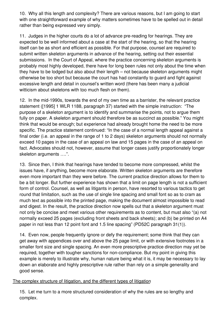10. Why all this length and complexity? There are various reasons, but I am going to start with one straightforward example of why matters sometimes have to be spelled out in detail rather than being expressed very simply.

11. Judges in the higher courts do a lot of advance pre-reading for hearings. They are expected to be well informed about a case at the start of the hearing, so that the hearing itself can be as short and efficient as possible. For that purpose, counsel are required to submit written skeleton arguments in advance of the hearing, setting out their essential submissions. In the Court of Appeal, where the practice concerning skeleton arguments is probably most highly developed, there have for long been rules not only about the time when they have to be lodged but also about their length – not because skeleton arguments might otherwise be too short but because the court has had constantly to guard and fight against excessive length and detail in counsel's written word (there has been many a judicial witticism about skeletons with too much flesh on them).

12. In the mid-1990s, towards the end of my own time as a barrister, the relevant practice statement ([1995] 1 WLR 1188, paragraph 37) started with the simple instruction: "The purpose of a skeleton argument is to identify and summarise the points, not to argue them fully on paper. A skeleton argument should therefore be as succinct as possible." You might think that would be enough; but experience had already brought home the need to be more specific. The practice statement continued: "In the case of a normal length appeal against a final order (i.e. an appeal in the range of 1 to 2 days) skeleton arguments should not normally exceed 10 pages in the case of an appeal on law and 15 pages in the case of an appeal on fact. Advocates should not, however, assume that longer cases justify proportionately longer skeleton arguments ….".

13. Since then, I think that hearings have tended to become more compressed, whilst the issues have, if anything, become more elaborate. Written skeleton arguments are therefore even more important than they were before. The current practice direction allows for them to be a bit longer. But further experience has shown that a limit on page length is not a sufficient form of control. Counsel, as well as litigants in person, have resorted to various tactics to get round that limitation, such as the use of single line spacing and small font so as to cram as much text as possible into the printed page, making the document almost impossible to read and digest. In the result, the practice direction now spells out that a skeleton argument must not only be concise and meet various other requirements as to content, but must also "(a) not normally exceed 25 pages (excluding front sheets and back sheets); and (b) be printed on A4 paper in not less than 12 point font and 1.5 line spacing" (PD52C paragraph 31(1)).

14. Even now, people frequently ignore or defy the requirement; some think that they can get away with appendices over and above the 25 page limit, or with extensive footnotes in a smaller font size and single spacing. An even more prescriptive practice direction may yet be required, together with tougher sanctions for non-compliance. But my point in giving this example is merely to illustrate why, human nature being what it is, it may be necessary to lay down an elaborate and highly prescriptive rule rather than rely on a simple generality and good sense.

## The complex structure of litigation, and the different types of litigation

15. Let me turn to a more structured consideration of why the rules are so lengthy and complex.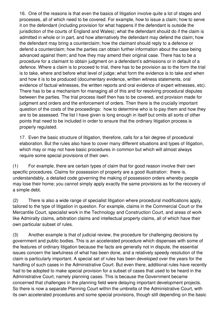16. One of the reasons is that even the basics of litigation involve quite a lot of stages and processes, all of which need to be covered. For example, how to issue a claim; how to serve it on the defendant (including provision for what happens if the defendant is outside the jurisdiction of the courts of England and Wales); what the defendant should do if the claim is admitted in whole or in part, and how alternatively the defendant may defend the claim; how the defendant may bring a counterclaim; how the claimant should reply to a defence or defend a counterclaim; how the parties can obtain further information about the case being advanced against them; and how they may amend their original case. There has to be a procedure for a claimant to obtain judgment on a defendant's admissions or in default of a defence. Where a claim is to proceed to trial, there has to be provision as to the form the trial is to take, where and before what level of judge; what form the evidence is to take and when and how it is to be produced (documentary evidence, written witness statements, oral evidence of factual witnesses, the written reports and oral evidence of expert witnesses, etc). There has to be a mechanism for managing all of this and for resolving procedural disputes between the parties. The trial process itself then has to be covered, and provision made for judgment and orders and the enforcement of orders. Then there is the crucially important question of the costs of the proceedings: how to determine who is to pay them and how they are to be assessed. The list I have given is long enough in itself but omits all sorts of other points that need to be included in order to ensure that the ordinary litigation process is properly regulated.

17. Even the basic structure of litigation, therefore, calls for a fair degree of procedural elaboration. But the rules also have to cover many different situations and types of litigation, which may or may not have basic procedures in common but which will almost always require some special provisions of their own.

(1) For example, there are certain types of claim that for good reason involve their own specific procedures. Claims for possession of property are a good illustration: there is, understandably, a detailed code governing the making of possession orders whereby people may lose their home; you cannot simply apply exactly the same provisions as for the recovery of a simple debt.

(2) There is also a wide range of specialist litigation where procedural modifications apply, tailored to the type of litigation in question. For example, claims in the Commercial Court or the Mercantile Court, specialist work in the Technology and Construction Court, and areas of work like Admiralty claims, arbitration claims and intellectual property claims, all of which have their own particular subset of rules.

(3) Another example is that of judicial review, the procedure for challenging decisions by government and public bodies. This is an accelerated procedure which dispenses with some of the features of ordinary litigation because the facts are generally not in dispute, the essential issues concern the lawfulness of what has been done, and a relatively speedy resolution of the claim is particularly important. A special set of rules has been developed over the years for the handling of such cases in the Administrative Court. But even there, additional rules have recently had to be adopted to make special provision for a subset of cases that used to be heard in the Administrative Court, namely planning cases. This is because the Government became concerned that challenges in the planning field were delaying important development projects. So there is now a separate Planning Court within the umbrella of the Administrative Court, with its own accelerated procedures and some special provisions, though still depending on the basic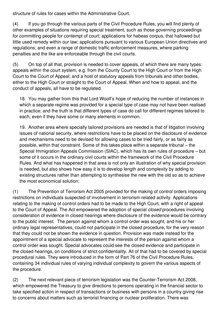structure of rules for cases within the Administrative Court.

(4) If you go through the various parts of the Civil Procedure Rules, you will find plenty of other examples of situations requiring special treatment, such as those governing proceedings for committing people for contempt of court; applications for habeas corpus, that hallowed but little used remedy within our law; applications pursuant to various European Union directives and regulations; and even a range of domestic traffic enforcement measures, where parking penalties and the like are enforceable through the civil courts.

(5) On top of all that, provision is needed to cover appeals, of which there are many types: appeals within the court system, e.g. from the County Court to the High Court or from the High Court to the Court of Appeal; and a host of statutory appeals from tribunals and other bodies, either to the High Court or straight to the Court of Appeal. When and how to appeal, and the conduct of appeals, all have to be regulated.

18. You may gather from this that Lord Woolf's hope of reducing the number of instances in which a separate regime was provided for a special type of case may not have been realised in practice; and the truth is that different types of case do call for different regimes tailored to each, even if they have some or many elements in common.

19. Another area where specially tailored provisions are needed is that of litigation involving issues of national security, where restrictions have to be placed on the disclosure of evidence and mechanisms need to be devised for allowing cases to be tried fairly, or as fairly as possible, within that constraint. Some of this takes place within a separate tribunal – the Special Immigration Appeals Commission (SIAC), which has its own rules of procedure – but some of it occurs in the ordinary civil courts within the framework of the Civil Procedure Rules. And what has happened in that area is not only an illustration of why special provision is needed, but also shows how easy it is to develop length and complexity by adding to existing structures rather than attempting to synthesise the new with the old so as to achieve the most economical solution:

(1) The Prevention of Terrorism Act 2005 provided for the making of control orders imposing restrictions on individuals suspected of involvement in terrorism-related activity. Applications relating to the making of control orders had to be made to the High Court, with a right of appeal to the Court of Appeal. The Act empowered the adoption of special *closed* procedures involving consideration of evidence in closed hearings where disclosure of the evidence would be contrary to the public interest. The person against whom a control order was sought, and his or her ordinary legal representatives, could not participate in the closed procedure, for the very reason that they could not be shown the evidence in question. Provision was made instead for the appointment of a special advocate to represent the interests of the person against whom a control order was sought. Special advocates could see the closed evidence and participate in the closed hearings, on conditions of strict confidentiality. All of that had to be covered by special procedural rules. They were introduced in the form of Part 76 of the Civil Procedure Rules, containing 34 individual rules of varying individual complexity to govern the various aspects of the procedure.

(2) The next relevant piece of terrorism legislation was the Counter-Terrorism Act 2008, which empowered the Treasury to give directions to persons operating in the financial sector to take specified action in respect of transactions or business with persons in a country giving rise to concerns about matters such as terrorist financing or nuclear proliferation. There was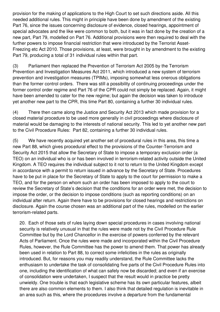provision for the making of applications to the High Court to set such directions aside. All this needed additional rules. This might in principle have been done by amendment of the existing Part 76, since the issues concerning disclosure of evidence, closed hearings, appointment of special advocates and the like were common to both, but it was in fact done by the creation of a new part, Part 79, modelled on Part 76. Additional provisions were then required to deal with the further powers to impose financial restriction that were introduced by the Terrorist Asset-Freezing etc Act 2010. Those provisions, at least, were brought in by amendment to the existing Part 79, producing a total of 31 individual rules within that part.

(3) Parliament then replaced the Prevention of Terrorism Act 2005 by the Terrorism Prevention and Investigation Measures Act 2011, which introduced a new system of terrorism prevention and investigation measures (TPIMs), imposing somewhat less onerous obligations than the former control orders. There was still a possibility of continuing proceedings under the former control order regime and Part 76 of the CPR could not simply be replaced. Again, it might have been amended to cater for the new regime; but again the decision was taken to introduce yet another new part to the CPR, this time Part 80, containing a further 30 individual rules.

(4) There then came along the Justice and Security Act 2013 which made provision for a closed material procedure to be used more generally in civil proceedings where disclosure of material would be damaging to the interests of national security. This led to yet another new part to the Civil Procedure Rules: Part 82, containing a further 30 individual rules.

(5) We have recently acquired yet another set of procedural rules in this area, this time a new Part 88, which gives procedural effect to the provisions of the Counter-Terrorism and Security Act 2015 that allow the Secretary of State to impose a temporary exclusion order (a TEO) on an individual who is or has been involved in terrorism-related activity outside the United Kingdom. A TEO requires the individual subject to it not to return to the United Kingdom except in accordance with a permit to return issued in advance by the Secretary of State. Procedures have to be put in place for the Secretary of State to apply to the court for permission to make a TEO, and for the person on whom such an order has been imposed to apply to the court to review the Secretary of State's decision that the conditions for an order were met, the decision to impose the order, or the decision to impose conditions (such as reporting conditions) on an individual after return. Again there have to be provisions for closed hearings and restrictions on disclosure. Again the course chosen was an additional part of the rules, modelled on the earlier terrorism-related parts.

20. Each of those sets of rules laying down special procedures in cases involving national security is relatively unusual in that the rules were made not by the Civil Procedure Rule Committee but by the Lord Chancellor in the exercise of powers conferred by the relevant Acts of Parliament. Once the rules were made and incorporated within the Civil Procedure Rules, however, the Rule Committee has the power to amend them. That power has already been used in relation to Part 88, to correct some infelicities in the rules as originally introduced. But, for reasons you may readily understand, the Rule Committee lacks the enthusiasm to undertake the task of consolidating five parts of the Civil Procedure Rules into one, including the identification of what can safely now be discarded; and even if an exercise of consolidation were undertaken, I suspect that the result would in practice be pretty unwieldy. One trouble is that each legislative scheme has its own particular features, albeit there are also common elements to them. I also think that detailed regulation is inevitable in an area such as this, where the procedures involve a departure from the fundamental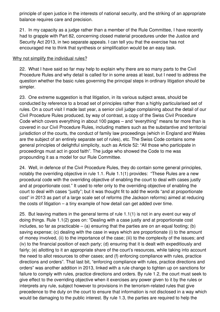principle of open justice in the interests of national security, and the striking of an appropriate balance requires care and precision.

21. In my capacity as a judge rather than a member of the Rule Committee, I have recently had to grapple with Part 82, concerning closed material procedures under the Justice and Security Act 2013, in two separate appeals. I can tell you that the exercise has not encouraged me to think that synthesis or simplification would be an easy task.

## Why not simplify the individual rules?

22. What I have said so far may help to explain why there are so many parts to the Civil Procedure Rules and why detail is called for in some areas at least, but I need to address the question whether the basic rules governing the principal steps in ordinary litigation should be simpler.

23. One extreme suggestion is that litigation, in its various subject areas, should be conducted by reference to a broad set of principles rather than a highly particularised set of rules. On a court visit I made last year, a senior civil judge complaining about the detail of our Civil Procedure Rules produced, by way of contrast, a copy of the Swiss Civil Procedure Code which covers everything in about 100 pages – and "everything" means far more than is covered in our Civil Procedure Rules, including matters such as the substantive and territorial jurisdiction of the courts, the conduct of family law proceedings (which in England and Wales are the subject of an entirely separate set of rules), etc. The Swiss Code contains some general principles of delightful simplicity, such as Article 52: "All those who participate in proceedings must act in good faith". The judge who showed the Code to me was propounding it as a model for our Rule Committee.

24. Well, in defence of the Civil Procedure Rules, they do contain some general principles, notably the overriding objective in rule 1.1. Rule 1.1(1) provides: "These Rules are a new procedural code with the overriding objective of enabling the court to deal with cases justly and at proportionate cost." It used to refer only to the overriding objective of enabling the court to deal with cases "justly"; but it was thought fit to add the words "and at proportionate cost" in 2013 as part of a large scale set of reforms (the Jackson reforms) aimed at reducing the costs of litigation – a tiny example of how detail can get added over time.

25. But leaving matters in the general terms of rule 1.1(1) is not in any event our way of doing things. Rule 1.1(2) goes on: "Dealing with a case justly and at proportionate cost includes, so far as practicable  $-$  (a) ensuring that the parties are on an equal footing; (b) saving expense; (c) dealing with the case in ways which are proportionate (i) to the amount of money involved, (ii) to the importance of the case; (iii) to the complexity of the issues; and (iv) to the financial position of each party; (d) ensuring that it is dealt with expeditiously and fairly; (e) allotting to it an appropriate share of the court's resources, while taking into account the need to allot resources to other cases; and (f) enforcing compliance with rules, practice directions and orders". That last bit, "enforcing compliance with rules, practice directions and orders" was another addition in 2013, linked with a rule change to tighten up on sanctions for failure to comply with rules, practice directions and orders. By rule 1.2, the court must seek to give effect to the overriding objective when it exercises any power given to it by the rules or interprets any rule, subject however to provisions in the terrorism-related rules that give precedence to the duty on the court to ensure that information is not disclosed in a way which would be damaging to the public interest. By rule 1.3, the parties are required to help the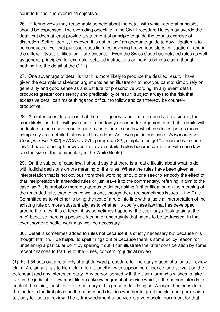court to further the overriding objective.

26. Differing views may reasonably be held about the detail with which general principles should be expressed. The overriding objective in the Civil Procedure Rules may overdo the detail but does at least provide a statement of principle to guide the court's exercise of discretion. Self-evidently, however, it is not in itself an adequate guide to how litigation is to be conducted. For that purpose, specific rules covering the various steps in litigation – and in the different types of litigation – are essential. Even the Swiss Code has detailed rules as well as general principles: for example, detailed instructions on how to bring a claim (though nothing like the detail of the CPR).

27. One advantage of detail is that it is more likely to produce the desired result. I have given the example of skeleton arguments as an illustration of how you cannot simply rely on generality and good sense as a substitute for prescriptive wording. In any event detail produces greater consistency and predictability of result, subject always to the risk that excessive detail can make things too difficult to follow and can thereby be counterproductive.

28. A related consideration is that the more general and open-textured a provision is, the more likely it is that it will give rise to uncertainty or scope for argument and that its limits will be tested in the courts, resulting in an accretion of case law which produces just as much complexity as a detailed rule would have done. As it was put in one case (*Woodhouse v Consignia Plc* [2002] EWCA Civ 275, paragraph 32), simple rules get "barnacled with case law". (I have to accept, however, that even detailed rules become barnacled with case law – see the size of the commentary in the White Book.)

29. On the subject of case law, I should say that there is a real difficulty about what to do with judicial decisions on the meaning of the rules. Where the rules have been given an interpretation that is not obvious from their wording, should one seek to embody the effect of that interpretation in amended rules or just leave it to the commentary, referring in turn to the case-law? It is probably more dangerous to tinker, risking further litigation on the meaning of the amended rule, than to leave well alone, though there are sometimes issues in the Rule Committee as to whether to bring the text of a rule into line with a judicial interpretation of the existing rule or, more substantially, as to whether to codify case law that has developed around the rules. It is different if, as sometimes happens, the court says "look again at the rule" because there is a possible lacuna or uncertainty that needs to be addressed. In that event some remedial work may well be necessary.

30. Detail is sometimes added to rules not because it is strictly necessary but because it is thought that it will be helpful to spell things out or because there is some policy reason for underlining a particular point by spelling it out. I can illustrate the latter consideration by some recent changes to Part 54 of the Rules, concerning judicial review:

(1) Part 54 sets out a relatively straightforward procedure for the early stages of a judicial review claim. A claimant has to file a claim form, together with supporting evidence, and serve it on the defendant and any interested party. Any person served with the claim form who wishes to take part in the judicial review must file an acknowledgment of service which, if the person intends to contest the claim, must set out a summary of his grounds for doing so. A judge then considers the matter in the first place on the papers and decides whether to grant the claimant permission to apply for judicial review. The acknowledgment of service is a very useful document for that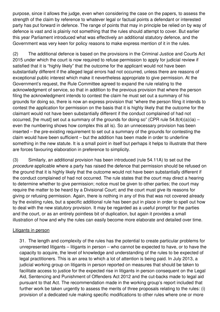purpose, since it allows the judge, even when considering the case on the papers, to assess the strength of the claim by reference to whatever legal or factual points a defendant or interested party has put forward in defence. The range of points that may in principle be relied on by way of defence is vast and is plainly not something that the rules should attempt to cover. But earlier this year Parliament introduced what was effectively an additional statutory defence, and the Government was very keen for policy reasons to make express mention of it in the rules.

(2) The additional defence is based on the provisions in the Criminal Justice and Courts Act 2015 under which the court is now required to refuse permission to apply for judicial review if satisfied that it is "highly likely" that the outcome for the applicant would not have been substantially different if the alleged legal errors had not occurred, unless there are reasons of exceptional public interest which make it nevertheless appropriate to give permission. At the Government's request, the Rule Committee agreed to expand the rule relating to the acknowledgment of service, so that in addition to the previous provision that where the person filing the acknowledgment intends to contest the claim he must set out a summary of his grounds for doing so, there is now an express provision that "where the person filing it intends to contest the application for permission on the basis that it is highly likely that the outcome for the claimant would not have been substantially different if the conduct complained of had not occurred. The must set out a summary of the grounds for doing so" (CPR rule  $54.8(4)(a)(ia)$ even the numbering shows how complex this all is). So an unnecessary provision has been inserted – the pre-existing requirement to set out a summary of the grounds for contesting the claim would have been sufficient – but the addition has been made in order to underline something in the new statute. It is a small point in itself but perhaps it helps to illustrate that there are forces favouring elaboration in preference to simplicity.

(3) Similarly, an additional provision has been introduced (rule 54.11A) to set out the *procedure* applicable where a party has raised the defence that permission should be refused on the ground that it is highly likely that the outcome would not have been substantially different if the conduct complained of had not occurred. The rule states that the court may direct a hearing to determine whether to give permission; notice must be given to other parties; the court may require the matter to be heard by a Divisional Court; and the court must give its reasons for giving or refusing permission. Again, there is nothing in any of this that was not covered already by the existing rules, but a specific additional rule has been put in place in order to spell out how to deal with the new statutory provision. It may be regarded as a useful prompt for the parties and the court, or as an entirely pointless bit of duplication, but again it provides a small illustration of how and why the rules can easily become more elaborate and detailed over time.

### Litigants in person

31. The length and complexity of the rules has the potential to create particular problems for unrepresented litigants – litigants in person – who cannot be expected to have, or to have the capacity to acquire, the level of knowledge and understanding of the rules to be expected of legal practitioners. This is an area to which a lot of attention is being paid. In July 2013, a judicial working group on litigants in person reported on measures that should be taken to facilitate access to justice for the expected rise in litigants in person consequent on the Legal Aid, Sentencing and Punishment of Offenders Act 2012 and the cut-backs made to legal aid pursuant to that Act. The recommendation made in the working group's report included that further work be taken urgently to assess the merits of three proposals relating to the rules: (i) provision of a dedicated rule making specific modifications to other rules where one or more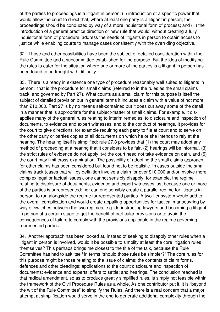of the parties to proceedings is a litigant in person; (ii) introduction of a specific power that would allow the court to direct that, where at least one party is a litigant in person, the proceedings should be conducted by way of a more inquisitorial form of process; and (iii) the introduction of a general practice direction or new rule that would, without creating a fully inquisitorial form of procedure, address the needs of litigants in person to obtain access to justice while enabling courts to manage cases consistently with the overriding objective.

32. Those and other possibilities have been the subject of detailed consideration within the Rule Committee and a subcommittee established for the purpose. But the idea of modifying the rules to cater for the situation where one or more of the parties is a litigant in person has been found to be fraught with difficulty.

33. There is already in existence one type of procedure reasonably well suited to litigants in person: that is the procedure for small claims (referred to in the rules as the small claims track, and governed by Part 27). What counts as a small claim for this purpose is itself the subject of detailed provision but in general terms it includes a claim with a value of not more than £10,000. Part 27 is by no means self-contained but it does cut away some of the detail in a manner that is appropriate for the subject-matter of small claims. For example, it disapplies many of the general rules relating to interim remedies, to disclosure and inspection of documents, to evidence and expert witnesses, and to the conduct of hearings. It provides for the court to give directions, for example requiring each party to file at court and to serve on the other party or parties copies of all documents on which he or she intends to rely at the hearing. The hearing itself is simplified: rule 27.8 provides that (1) the court may adopt any method of proceeding at a hearing that it considers to be fair, (2) hearings will be informal, (3) the strict rules of evidence do not apply, (4) the court need not take evidence on oath, and (5) the court may limit cross-examination. The possibility of adopting the small claims approach for other claims has been considered but found not to be realistic. In cases outside the small claims track (cases that will by definition involve a claim for over £10,000 and/or involve more complex legal or factual issues), one cannot sensibly disapply, for example, the regime relating to disclosure of documents, evidence and expert witnesses just because one or more of the parties is unrepresented; nor can one sensibly create a parallel regime for litigants in person, to run alongside the regime for represented parties. A two-tier system would add to the overall complication and would create appalling opportunities for tactical manoeuvring by way of switches between the two regimes, e.g. de-instructing lawyers and becoming a litigant in person at a certain stage to get the benefit of particular provisions or to avoid the consequences of failure to comply with the provisions applicable in the regime governing represented parties.

34. Another approach has been looked at. Instead of seeking to disapply other rules when a litigant in person is involved, would it be possible to simplify at least the core litigation rules themselves? This perhaps brings me closest to the title of the talk, because the Rule Committee has had to ask itself in terms "should those rules be simpler?" The core rules for this purpose might be those relating to the issue of claims; the contents of claim forms, defences and other pleadings; applications to the court; disclosure and inspection of documents; evidence and experts; offers to settle; and hearings. The conclusion reached is that radical amendment, so as to produce greatly simplified rules, is simply not feasible within the framework of the Civil Procedure Rules as a whole. As one contributor put it, it is "beyond the wit of the Rule Committee" to simplify the Rules. And there is a real concern that a major attempt at simplification would serve in the end to generate additional complexity through the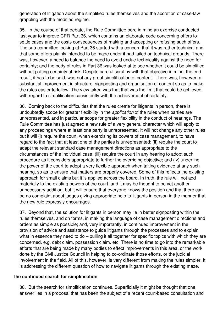generation of litigation about the simplified rules themselves and the accretion of case-law grappling with the modified regime.

35. In the course of that debate, the Rule Committee bore in mind an exercise conducted last year to improve CPR Part 36, which contains an elaborate code concerning offers to settle cases and the costs consequences of making and accepting or refusing such offers. The sub-committee looking at Part 36 started with a concern that it was rather technical and that some offers plainly intended to be made under it had failed on technical grounds. There was, however, a need to balance the need to avoid undue technicality against the need for certainty; and the body of rules in Part 36 was looked at to see whether it could be simplified without putting certainty at risk. Despite careful scrutiny with that objective in mind, the end result, it has to be said, was not any great simplification of content. There was, however, a substantial improvement in structure, signposting and organisation of content so as to make the rules easier to follow. The view taken was that that was the limit that could be achieved with regard to simplification consistently with the achievement of certainty.

36. Coming back to the difficulties that the rules create for litigants in person, there is undoubtedly scope for greater flexibility in the *application* of the rules when parties are unrepresented, and in particular scope for greater flexibility in the conduct of hearings. The Rule Committee has just agreed a new rule of a very general character which will apply to any proceedings where at least one party is unrepresented. It will not change any other rules but it will (i) require the court, when exercising its powers of case management, to have regard to the fact that at least one of the parties is unrepresented; (ii) require the court to adapt the relevant standard case management directions as appropriate to the circumstances of the individual case; (iii) require the court in any hearing to adopt such procedure as it considers appropriate to further the overriding objective; and (iv) underline the power of the court to adopt a very flexible approach when taking evidence at any such hearing, so as to ensure that matters are properly covered. Some of this reflects the existing approach for small claims but it is applied across the board. In truth, the rule will not add materially to the existing powers of the court, and it may be thought to be yet another unnecessary addition, but it will ensure that everyone knows the position and that there can be no complaint about judges giving appropriate help to litigants in person in the manner that the new rule expressly encourages.

37. Beyond that, the solution for litigants in person may lie in better signposting within the rules themselves, and on forms, in making the language of case management directions and orders as simple as possible; and, very importantly, in continued improvement in the provision of advice and assistance to guide litigants through the processes and to explain what in essence they need to do – pulling it all together for specific topics with which they are concerned, e.g. debt claim, possession claim, etc. There is no time to go into the remarkable efforts that are being made by many bodies to effect improvements in this area, or the work done by the Civil Justice Council in helping to co-ordinate those efforts, or the judicial involvement in the field. All of this, however, is very different from making the rules simpler. It is addressing the different question of how to navigate litigants through the existing maze.

### **The continued search for simplification**

38. But the search for simplification continues. Superficially it might be thought that one answer lies in a proposal that has been the subject of a recent court-based consultation and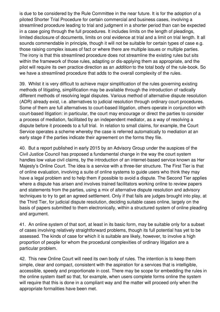is due to be considered by the Rule Committee in the near future. It is for the adoption of a piloted Shorter Trial Procedure for certain commercial and business cases, involving a streamlined procedure leading to trial and judgment in a shorter period than can be expected in a case going through the full procedures. It includes limits on the length of pleadings, limited disclosure of documents, limits on oral evidence at trial and a limit on trial length. It all sounds commendable in principle, though it will not be suitable for certain types of case e.g. those raising complex issues of fact or where there are multiple issues or multiple parties. The irony is that this streamlined procedure does not streamline the existing rules but sits within the framework of those rules, adapting or dis-applying them as appropriate, and the pilot will require its own practice direction as an *addition* to the total body of the rule-book. So we have a streamlined procedure that adds to the overall complexity of the rules.

39. Whilst it is very difficult to achieve major simplification of the rules governing existing methods of litigating, simplification may be available through the introduction of radically different methods of resolving legal disputes. Various method of alternative dispute resolution (ADR) already exist, i.e. alternatives to judicial resolution through ordinary court procedures. Some of them are full alternatives to court-based litigation, others operate in conjunction with court-based litigation: in particular, the court may encourage or direct the parties to consider a process of mediation, facilitated by an independent mediator, as a way of resolving a dispute before it proceeds to a full trial. In relation to small claims, for example, the Court Service operates a scheme whereby the case is referred automatically to mediation at an early stage if the parties indicate their agreement on the forms they file.

40. But a report published in early 2015 by an Advisory Group under the auspices of the Civil Justice Council has proposed a fundamental change in the way the court system handles low value civil claims, by the introduction of an internet-based service known as Her Majesty's Online Court. The idea is a service with a three-tier structure. The First Tier is that of online evaluation, involving a suite of online systems to guide users who think they may have a legal problem and to help them if possible to avoid a dispute. The Second Tier applies where a dispute has arisen and involves trained facilitators working online to review papers and statements from the parties, using a mix of alternative dispute resolution and advisory techniques to try to get an agreed settlement. Only if that fails are judges brought into play, at the Third Tier, for judicial dispute resolution, deciding suitable cases online, largely on the basis of papers submitted to them electronically, within a structured system of online pleading and argument.

41. An online system of that sort, at least in its basic form, may be suitable only for a subset of cases involving relatively straightforward problems, though its full potential has yet to be assessed. The kinds of case for which it is suitable are likely, however, to involve a high proportion of people for whom the procedural complexities of ordinary litigation are a particular problem.

42. This new Online Court will need its own body of rules. The intention is to keep them simple, clear and compact, consistent with the aspiration for a services that is intelligible, accessible, speedy and proportionate in cost. There may be scope for embedding the rules in the online system itself so that, for example, when users complete forms online the system will require that this is done in a compliant way and the matter will proceed only when the appropriate formalities have been met.